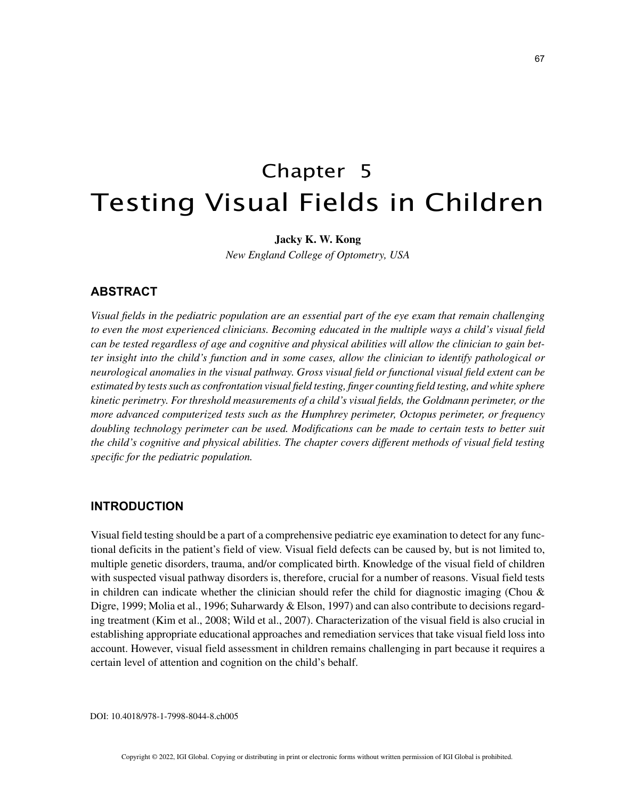# Chapter 5 Testing Visual Fields in Children

## **Jacky K. W. Kong**

*New England College of Optometry, USA*

## **ABSTRACT**

*Visual fields in the pediatric population are an essential part of the eye exam that remain challenging to even the most experienced clinicians. Becoming educated in the multiple ways a child's visual field can be tested regardless of age and cognitive and physical abilities will allow the clinician to gain better insight into the child's function and in some cases, allow the clinician to identify pathological or neurological anomalies in the visual pathway. Gross visual field or functional visual field extent can be estimated by tests such as confrontation visual field testing, finger counting field testing, and white sphere kinetic perimetry. For threshold measurements of a child's visual fields, the Goldmann perimeter, or the more advanced computerized tests such as the Humphrey perimeter, Octopus perimeter, or frequency doubling technology perimeter can be used. Modifications can be made to certain tests to better suit the child's cognitive and physical abilities. The chapter covers different methods of visual field testing specific for the pediatric population.*

## **INTRODUCTION**

Visual field testing should be a part of a comprehensive pediatric eye examination to detect for any functional deficits in the patient's field of view. Visual field defects can be caused by, but is not limited to, multiple genetic disorders, trauma, and/or complicated birth. Knowledge of the visual field of children with suspected visual pathway disorders is, therefore, crucial for a number of reasons. Visual field tests in children can indicate whether the clinician should refer the child for diagnostic imaging (Chou  $\&$ Digre, 1999; Molia et al., 1996; Suharwardy & Elson, 1997) and can also contribute to decisions regarding treatment (Kim et al., 2008; Wild et al., 2007). Characterization of the visual field is also crucial in establishing appropriate educational approaches and remediation services that take visual field loss into account. However, visual field assessment in children remains challenging in part because it requires a certain level of attention and cognition on the child's behalf.

DOI: 10.4018/978-1-7998-8044-8.ch005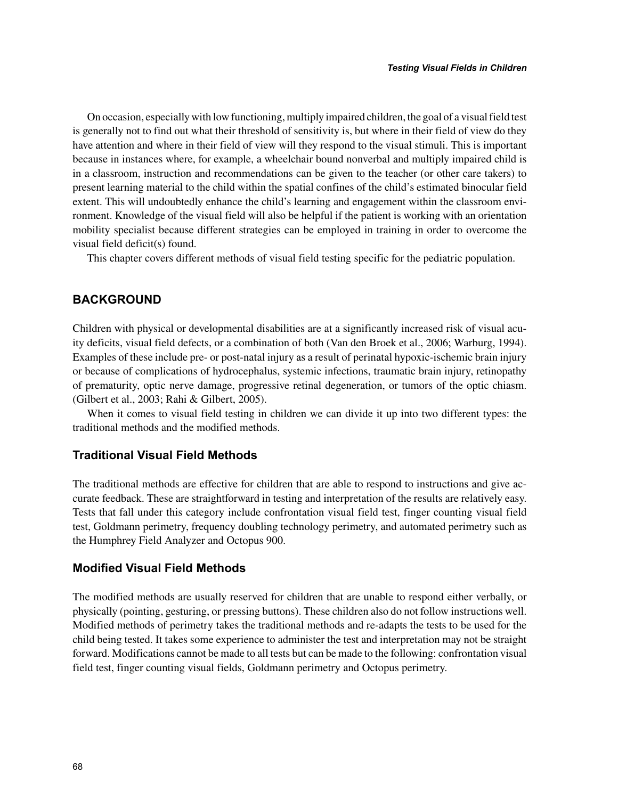On occasion, especially with low functioning, multiply impaired children, the goal of a visual field test is generally not to find out what their threshold of sensitivity is, but where in their field of view do they have attention and where in their field of view will they respond to the visual stimuli. This is important because in instances where, for example, a wheelchair bound nonverbal and multiply impaired child is in a classroom, instruction and recommendations can be given to the teacher (or other care takers) to present learning material to the child within the spatial confines of the child's estimated binocular field extent. This will undoubtedly enhance the child's learning and engagement within the classroom environment. Knowledge of the visual field will also be helpful if the patient is working with an orientation mobility specialist because different strategies can be employed in training in order to overcome the visual field deficit(s) found.

This chapter covers different methods of visual field testing specific for the pediatric population.

## **BACKGROUND**

Children with physical or developmental disabilities are at a significantly increased risk of visual acuity deficits, visual field defects, or a combination of both (Van den Broek et al., 2006; Warburg, 1994). Examples of these include pre- or post-natal injury as a result of perinatal hypoxic-ischemic brain injury or because of complications of hydrocephalus, systemic infections, traumatic brain injury, retinopathy of prematurity, optic nerve damage, progressive retinal degeneration, or tumors of the optic chiasm. (Gilbert et al., 2003; Rahi & Gilbert, 2005).

When it comes to visual field testing in children we can divide it up into two different types: the traditional methods and the modified methods.

## **Traditional Visual Field Methods**

The traditional methods are effective for children that are able to respond to instructions and give accurate feedback. These are straightforward in testing and interpretation of the results are relatively easy. Tests that fall under this category include confrontation visual field test, finger counting visual field test, Goldmann perimetry, frequency doubling technology perimetry, and automated perimetry such as the Humphrey Field Analyzer and Octopus 900.

# **Modified Visual Field Methods**

The modified methods are usually reserved for children that are unable to respond either verbally, or physically (pointing, gesturing, or pressing buttons). These children also do not follow instructions well. Modified methods of perimetry takes the traditional methods and re-adapts the tests to be used for the child being tested. It takes some experience to administer the test and interpretation may not be straight forward. Modifications cannot be made to all tests but can be made to the following: confrontation visual field test, finger counting visual fields, Goldmann perimetry and Octopus perimetry.